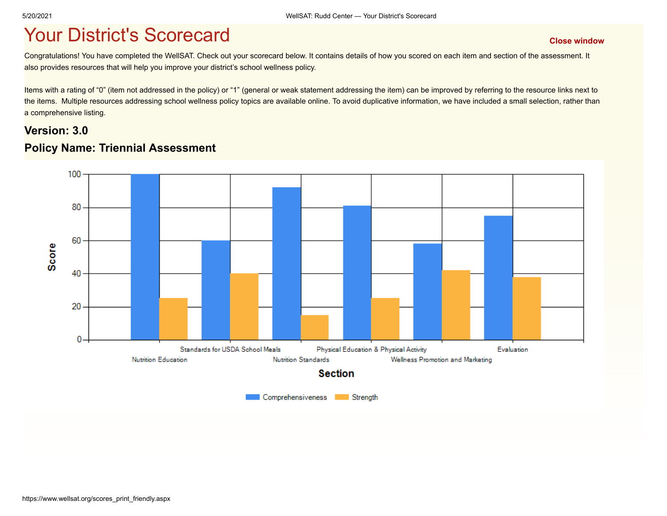## **The Vour District's Scorecard According to the [Close window](javascript:close();)**

Congratulations! You have completed the WellSAT. Check out your scorecard below. It contains details of how you scored on each item and section of the assessment. It also provides resources that will help you improve your district's school wellness policy.

Items with a rating of "0" (item not addressed in the policy) or "1" (general or weak statement addressing the item) can be improved by referring to the resource links next to the items. Multiple resources addressing school wellness policy topics are available online. To avoid duplicative information, we have included a small selection, rather than a comprehensive listing.

#### **Version: 3.0 Policy Name: Triennial Assessment**

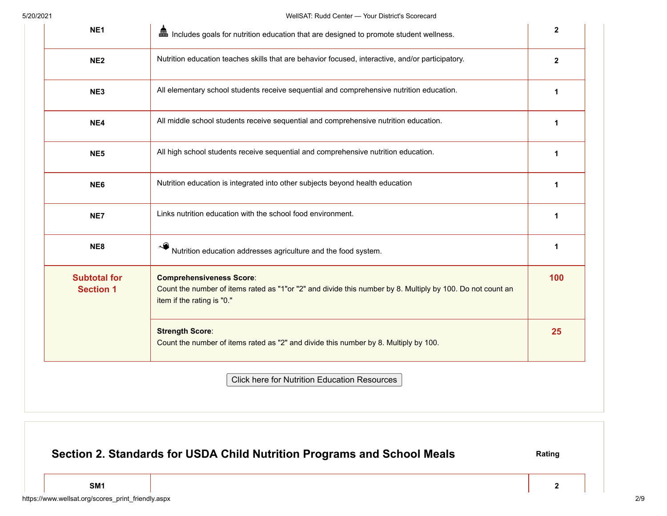| NE <sub>1</sub>                         | man Includes goals for nutrition education that are designed to promote student wellness.                                                                                   | $\mathbf{2}$ |
|-----------------------------------------|-----------------------------------------------------------------------------------------------------------------------------------------------------------------------------|--------------|
| NE <sub>2</sub>                         | Nutrition education teaches skills that are behavior focused, interactive, and/or participatory.                                                                            | $\mathbf{2}$ |
| NE3                                     | All elementary school students receive sequential and comprehensive nutrition education.                                                                                    | 1            |
| NE4                                     | All middle school students receive sequential and comprehensive nutrition education.                                                                                        | 1            |
| NE <sub>5</sub>                         | All high school students receive sequential and comprehensive nutrition education.                                                                                          | 1            |
| NE6                                     | Nutrition education is integrated into other subjects beyond health education                                                                                               | 1            |
| NE7                                     | Links nutrition education with the school food environment.                                                                                                                 | 1            |
| NE <sub>8</sub>                         | Nutrition education addresses agriculture and the food system.                                                                                                              | 1            |
| <b>Subtotal for</b><br><b>Section 1</b> | <b>Comprehensiveness Score:</b><br>Count the number of items rated as "1"or "2" and divide this number by 8. Multiply by 100. Do not count an<br>item if the rating is "0." | 100          |
|                                         | <b>Strength Score:</b><br>Count the number of items rated as "2" and divide this number by 8. Multiply by 100.                                                              | 25           |
|                                         | <b>Click here for Nutrition Education Resources</b>                                                                                                                         |              |

## **Section 2. Standards for USDA Child Nutrition Programs and School Meals Rating Rating**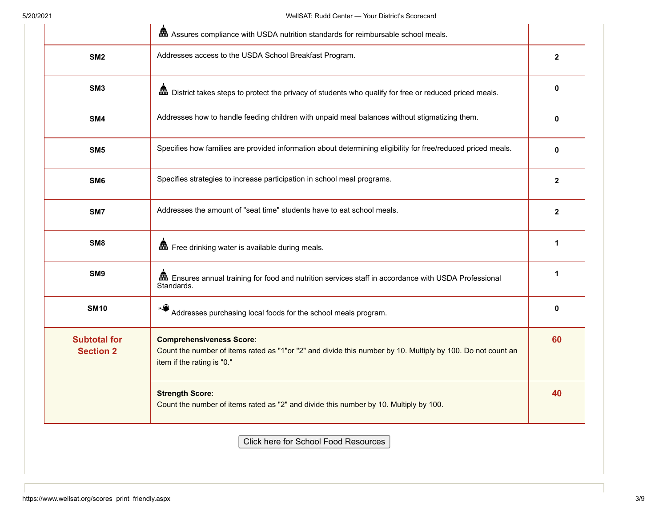|                                         | and Assures compliance with USDA nutrition standards for reimbursable school meals.                                                                                          |              |
|-----------------------------------------|------------------------------------------------------------------------------------------------------------------------------------------------------------------------------|--------------|
| SM <sub>2</sub>                         | Addresses access to the USDA School Breakfast Program.                                                                                                                       | $\mathbf{2}$ |
| SM <sub>3</sub>                         | man District takes steps to protect the privacy of students who qualify for free or reduced priced meals.                                                                    | 0            |
| SM4                                     | Addresses how to handle feeding children with unpaid meal balances without stigmatizing them.                                                                                | 0            |
| SM <sub>5</sub>                         | Specifies how families are provided information about determining eligibility for free/reduced priced meals.                                                                 | 0            |
| SM <sub>6</sub>                         | Specifies strategies to increase participation in school meal programs.                                                                                                      | $\mathbf{2}$ |
| SM7                                     | Addresses the amount of "seat time" students have to eat school meals.                                                                                                       | $\mathbf{2}$ |
| SM <sub>8</sub>                         | Free drinking water is available during meals.                                                                                                                               | 1            |
| SM9                                     | as Ensures annual training for food and nutrition services staff in accordance with USDA Professional<br>Standards.                                                          | 1            |
| <b>SM10</b>                             | Addresses purchasing local foods for the school meals program.                                                                                                               | 0            |
| <b>Subtotal for</b><br><b>Section 2</b> | <b>Comprehensiveness Score:</b><br>Count the number of items rated as "1"or "2" and divide this number by 10. Multiply by 100. Do not count an<br>item if the rating is "0." | 60           |
|                                         | <b>Strength Score:</b><br>Count the number of items rated as "2" and divide this number by 10. Multiply by 100.                                                              | 40           |

Click here for School Food Resources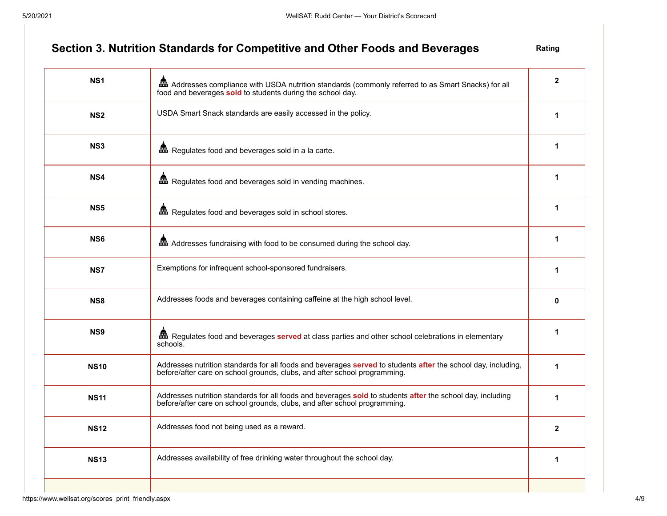#### **Section 3. Nutrition Standards for Competitive and Other Foods and Beverages** Rating

**NS1 A** Addresses compliance with USDA nutrition standards (commonly referred to as Smart Snacks) for all food and beverages **sold** to students during the school day. **2 NS2** USDA Smart Snack standards are easily accessed in the policy. **1 1 1 1 NS3 A**<br> **1 A**<br> **1 A**<br> **1 NS4 A**<br>**1 A**<br>**1 A**<br>**1 NS5 A** Regulates food and beverages sold in school stores. **NS6 Addresses fundraising with food to be consumed during the school day. 1 NS7 Exemptions for infrequent school-sponsored fundraisers. 1 1 1 1 1 NS8** Addresses foods and beverages containing caffeine at the high school level. **0 0 0 0 NS9 Regulates food and beverages served** at class parties and other school celebrations in elementary schools. **1 NS10** Addresses nutrition standards for all foods and beverages **served** to students **after** the school day, including, before/after care on school grounds, clubs, and after school programming. **1 NS11** Addresses nutrition standards for all foods and beverages **sold** to students **after** the school day, including before/after care on school grounds, clubs, and after school programming. **1 NS12** Addresses food not being used as a reward. **2 2 NS13** Addresses availability of free drinking water throughout the school day. **1 1 1 1**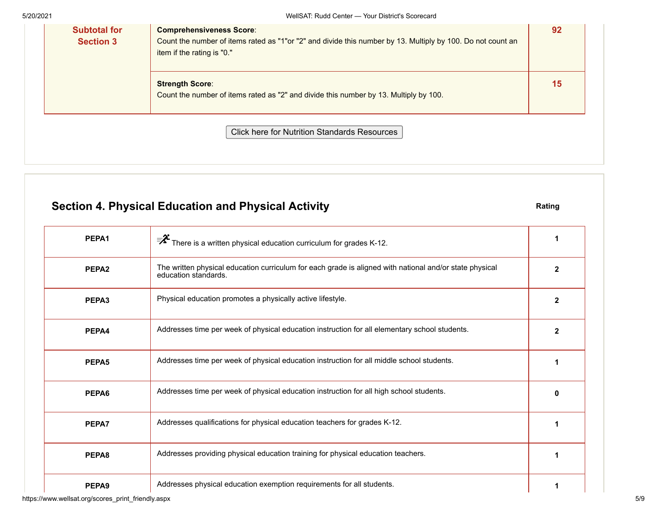| <b>Subtotal for</b><br><b>Section 3</b> | <b>Comprehensiveness Score:</b><br>Count the number of items rated as "1"or "2" and divide this number by 13. Multiply by 100. Do not count an<br>item if the rating is "0." | 92 |
|-----------------------------------------|------------------------------------------------------------------------------------------------------------------------------------------------------------------------------|----|
|                                         | <b>Strength Score:</b><br>Count the number of items rated as "2" and divide this number by 13. Multiply by 100.                                                              | 15 |
|                                         | <b>Click here for Nutrition Standards Resources</b>                                                                                                                          |    |

## **Section 4. Physical Education and Physical Activity <b>Rating** Rating

| PEPA1             | $\overline{\mathscr{F}}$ There is a written physical education curriculum for grades K-12.                                      | 1            |
|-------------------|---------------------------------------------------------------------------------------------------------------------------------|--------------|
| PEPA <sub>2</sub> | The written physical education curriculum for each grade is aligned with national and/or state physical<br>education standards. | $\mathbf{2}$ |
| PEPA3             | Physical education promotes a physically active lifestyle.                                                                      | 2            |
| PEPA4             | Addresses time per week of physical education instruction for all elementary school students.                                   | $\mathbf{2}$ |
| PEPA5             | Addresses time per week of physical education instruction for all middle school students.                                       |              |
| PEPA6             | Addresses time per week of physical education instruction for all high school students.                                         | 0            |
| PEPA7             | Addresses qualifications for physical education teachers for grades K-12.                                                       | 1            |
| PEPA8             | Addresses providing physical education training for physical education teachers.                                                |              |
| PEPA <sub>9</sub> | Addresses physical education exemption requirements for all students.                                                           |              |

https://www.wellsat.org/scores\_print\_friendly.aspx 5/9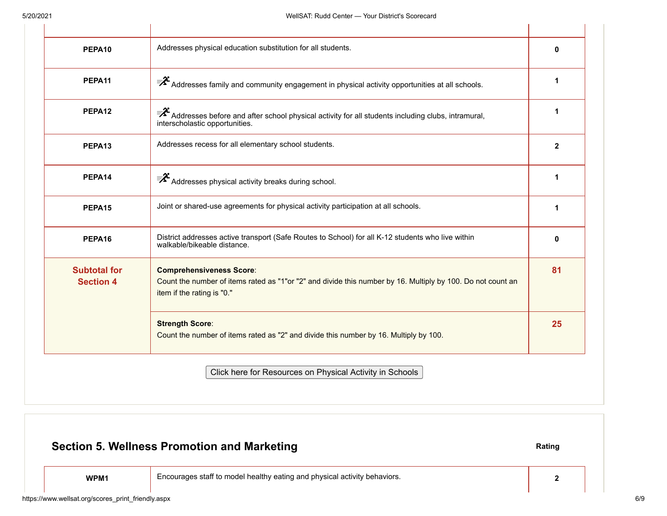$\mathbf{L}$ 

| PEPA <sub>10</sub>                      | Addresses physical education substitution for all students.                                                                                                                  | $\mathbf{0}$ |
|-----------------------------------------|------------------------------------------------------------------------------------------------------------------------------------------------------------------------------|--------------|
| PEPA <sub>11</sub>                      | $\bar{P}^2$ Addresses family and community engagement in physical activity opportunities at all schools.                                                                     |              |
| PEPA <sub>12</sub>                      | ₹₹ Addresses before and after school physical activity for all students including clubs, intramural,<br>interscholastic opportunities.                                       |              |
| PEPA <sub>13</sub>                      | Addresses recess for all elementary school students.                                                                                                                         | $\mathbf{2}$ |
| PEPA14                                  | $\overline{\mathbf{z}}^2$ Addresses physical activity breaks during school.                                                                                                  |              |
| PEPA <sub>15</sub>                      | Joint or shared-use agreements for physical activity participation at all schools.                                                                                           | 1            |
| PEPA16                                  | District addresses active transport (Safe Routes to School) for all K-12 students who live within<br>walkable/bikeable distance.                                             | $\Omega$     |
| <b>Subtotal for</b><br><b>Section 4</b> | <b>Comprehensiveness Score:</b><br>Count the number of items rated as "1"or "2" and divide this number by 16. Multiply by 100. Do not count an<br>item if the rating is "0." | 81           |
|                                         | <b>Strength Score:</b><br>Count the number of items rated as "2" and divide this number by 16. Multiply by 100.                                                              | 25           |
|                                         | Click here for Resources on Physical Activity in Schools                                                                                                                     |              |

# https://www.wellsat.org/scores\_print\_friendly.aspx 6/9 **Section 5. Wellness Promotion and Marketing <b>Rating Section 5. Wellness Promotion and Marketing WPM1** Encourages staff to model healthy eating and physical activity behaviors. **2**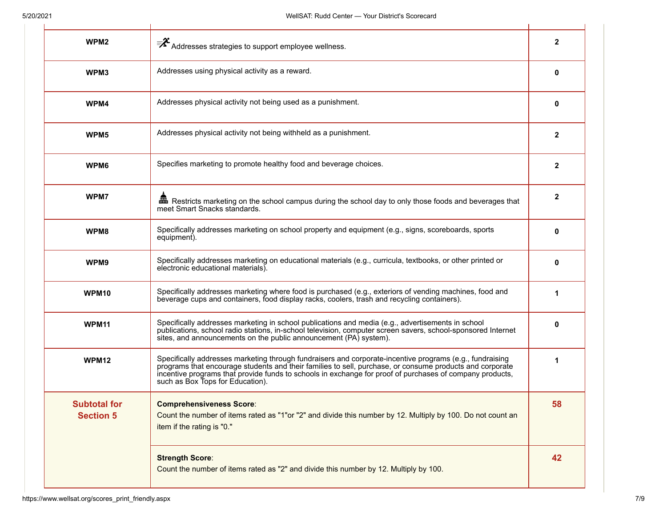| WPM <sub>2</sub>                        | Addresses strategies to support employee wellness.                                                                                                                                                                                                                                                                                                                   | 2            |
|-----------------------------------------|----------------------------------------------------------------------------------------------------------------------------------------------------------------------------------------------------------------------------------------------------------------------------------------------------------------------------------------------------------------------|--------------|
| WPM3                                    | Addresses using physical activity as a reward.                                                                                                                                                                                                                                                                                                                       | 0            |
| WPM4                                    | Addresses physical activity not being used as a punishment.                                                                                                                                                                                                                                                                                                          | 0            |
| WPM5                                    | Addresses physical activity not being withheld as a punishment.                                                                                                                                                                                                                                                                                                      | $\mathbf{2}$ |
| WPM6                                    | Specifies marketing to promote healthy food and beverage choices.                                                                                                                                                                                                                                                                                                    | 2            |
| WPM7                                    | Em Restricts marketing on the school campus during the school day to only those foods and beverages that<br>meet Smart Snacks standards.                                                                                                                                                                                                                             | $\mathbf{2}$ |
| WPM8                                    | Specifically addresses marketing on school property and equipment (e.g., signs, scoreboards, sports<br>equipment).                                                                                                                                                                                                                                                   | 0            |
| WPM9                                    | Specifically addresses marketing on educational materials (e.g., curricula, textbooks, or other printed or<br>electronic educational materials).                                                                                                                                                                                                                     | 0            |
| WPM <sub>10</sub>                       | Specifically addresses marketing where food is purchased (e.g., exteriors of vending machines, food and<br>beverage cups and containers, food display racks, coolers, trash and recycling containers).                                                                                                                                                               | 1            |
| WPM <sub>11</sub>                       | Specifically addresses marketing in school publications and media (e.g., advertisements in school<br>publications, school radio stations, in-school television, computer screen savers, school-sponsored Internet<br>sites, and announcements on the public announcement (PA) system).                                                                               | 0            |
| WPM <sub>12</sub>                       | Specifically addresses marketing through fundraisers and corporate-incentive programs (e.g., fundraising<br>programs that encourage students and their families to sell, purchase, or consume products and corporate<br>incentive programs that provide funds to schools in exchange for proof of purchases of company products,<br>such as Box Tops for Education). | 1            |
| <b>Subtotal for</b><br><b>Section 5</b> | <b>Comprehensiveness Score:</b><br>Count the number of items rated as "1"or "2" and divide this number by 12. Multiply by 100. Do not count an<br>item if the rating is "0."                                                                                                                                                                                         | 58           |
|                                         | <b>Strength Score:</b><br>Count the number of items rated as "2" and divide this number by 12. Multiply by 100.                                                                                                                                                                                                                                                      | 42           |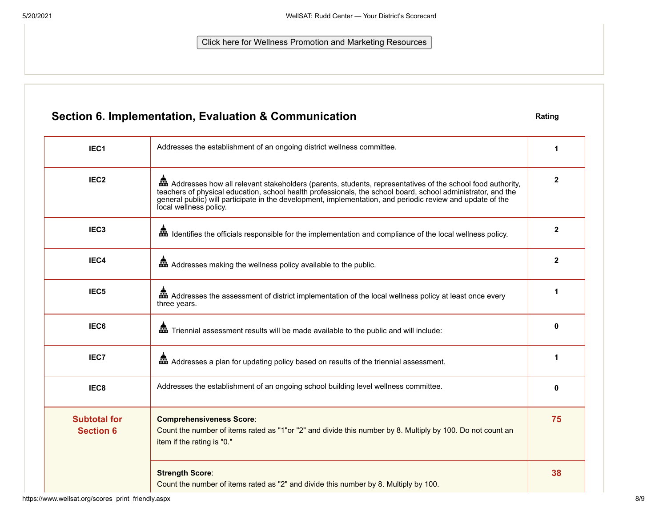Click here for Wellness Promotion and Marketing Resources

## **Section 6. Implementation, Evaluation & Communication Rating Rating**

| IEC <sub>1</sub>                        | Addresses the establishment of an ongoing district wellness committee.                                                                                                                                                                                                                                                                                                | 1            |
|-----------------------------------------|-----------------------------------------------------------------------------------------------------------------------------------------------------------------------------------------------------------------------------------------------------------------------------------------------------------------------------------------------------------------------|--------------|
| IEC <sub>2</sub>                        | and Addresses how all relevant stakeholders (parents, students, representatives of the school food authority,<br>teachers of physical education, school health professionals, the school board, school administrator, and the<br>general public) will participate in the development, implementation, and periodic review and update of the<br>local wellness policy. | $\mathbf{2}$ |
| IEC <sub>3</sub>                        | and Identifies the officials responsible for the implementation and compliance of the local wellness policy.                                                                                                                                                                                                                                                          | $\mathbf{2}$ |
| IEC4                                    | and Addresses making the wellness policy available to the public.                                                                                                                                                                                                                                                                                                     | 2            |
| IEC <sub>5</sub>                        | and Addresses the assessment of district implementation of the local wellness policy at least once every<br>three years.                                                                                                                                                                                                                                              | 1            |
| IEC6                                    |                                                                                                                                                                                                                                                                                                                                                                       | $\bf{0}$     |
| IEC7                                    | an Addresses a plan for updating policy based on results of the triennial assessment.                                                                                                                                                                                                                                                                                 | 1            |
| IEC8                                    | Addresses the establishment of an ongoing school building level wellness committee.                                                                                                                                                                                                                                                                                   | $\bf{0}$     |
| <b>Subtotal for</b><br><b>Section 6</b> | <b>Comprehensiveness Score:</b><br>Count the number of items rated as "1"or "2" and divide this number by 8. Multiply by 100. Do not count an<br>item if the rating is "0."                                                                                                                                                                                           | 75           |
|                                         | <b>Strength Score:</b><br>Count the number of items rated as "2" and divide this number by 8. Multiply by 100.                                                                                                                                                                                                                                                        | 38           |

https://www.wellsat.org/scores\_print\_friendly.aspx 8/9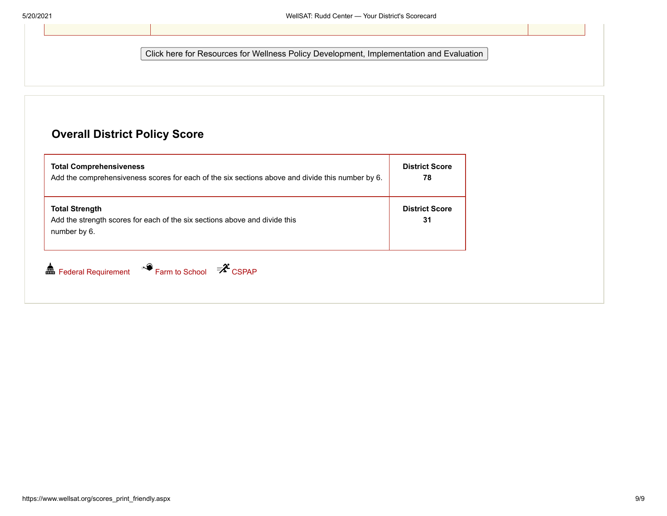Click here for Resources for Wellness Policy Development, Implementation and Evaluation

#### **Overall District Policy Score**

| <b>Total Comprehensiveness</b><br>Add the comprehensiveness scores for each of the six sections above and divide this number by 6. | <b>District Score</b><br>78 |
|------------------------------------------------------------------------------------------------------------------------------------|-----------------------------|
| <b>Total Strength</b><br>Add the strength scores for each of the six sections above and divide this<br>number by 6.                | <b>District Score</b><br>31 |
| Farm to School <sup>= 2</sup> CSPAP<br>⋒<br><b>Federal Requirement</b>                                                             |                             |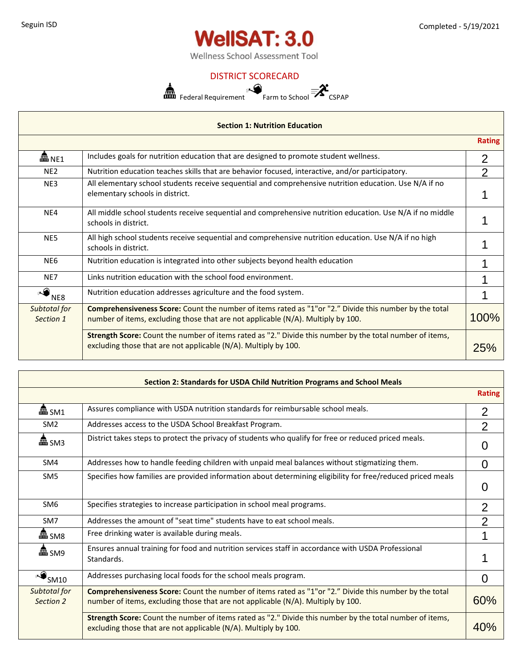

Wellness School Assessment Tool

#### DISTRICT SCORECARD



| <b>Section 1: Nutrition Education</b> |                                                                                                                                                                                             |               |
|---------------------------------------|---------------------------------------------------------------------------------------------------------------------------------------------------------------------------------------------|---------------|
|                                       |                                                                                                                                                                                             | <b>Rating</b> |
| 畾 NE1                                 | Includes goals for nutrition education that are designed to promote student wellness.                                                                                                       | 2             |
| NE <sub>2</sub>                       | Nutrition education teaches skills that are behavior focused, interactive, and/or participatory.                                                                                            | າ             |
| NE3                                   | All elementary school students receive sequential and comprehensive nutrition education. Use N/A if no<br>elementary schools in district.                                                   |               |
| NE4                                   | All middle school students receive sequential and comprehensive nutrition education. Use N/A if no middle<br>schools in district.                                                           |               |
| NE5                                   | All high school students receive sequential and comprehensive nutrition education. Use N/A if no high<br>schools in district.                                                               |               |
| NE6                                   | Nutrition education is integrated into other subjects beyond health education                                                                                                               |               |
| NE7                                   | Links nutrition education with the school food environment.                                                                                                                                 |               |
| NE8                                   | Nutrition education addresses agriculture and the food system.                                                                                                                              |               |
| Subtotal for<br>Section 1             | Comprehensiveness Score: Count the number of items rated as "1" or "2." Divide this number by the total<br>number of items, excluding those that are not applicable (N/A). Multiply by 100. | 100%          |
|                                       | <b>Strength Score:</b> Count the number of items rated as "2." Divide this number by the total number of items,<br>excluding those that are not applicable (N/A). Multiply by 100.          | 25%           |

|                           | excluding those that are not applicable (N/A). Multiply by 100.                                                                                                                            | 25%            |
|---------------------------|--------------------------------------------------------------------------------------------------------------------------------------------------------------------------------------------|----------------|
|                           |                                                                                                                                                                                            |                |
|                           | Section 2: Standards for USDA Child Nutrition Programs and School Meals                                                                                                                    |                |
|                           |                                                                                                                                                                                            | <b>Rating</b>  |
| 畾 SM1                     | Assures compliance with USDA nutrition standards for reimbursable school meals.                                                                                                            | 2              |
| SM <sub>2</sub>           | Addresses access to the USDA School Breakfast Program.                                                                                                                                     | $\overline{2}$ |
| 畾 SM3                     | District takes steps to protect the privacy of students who qualify for free or reduced priced meals.                                                                                      | $\Omega$       |
| SM4                       | Addresses how to handle feeding children with unpaid meal balances without stigmatizing them.                                                                                              | $\Omega$       |
| SM <sub>5</sub>           | Specifies how families are provided information about determining eligibility for free/reduced priced meals                                                                                |                |
| SM <sub>6</sub>           | Specifies strategies to increase participation in school meal programs.                                                                                                                    | $\overline{2}$ |
| SM7                       | Addresses the amount of "seat time" students have to eat school meals.                                                                                                                     | $\overline{2}$ |
| 畾 SM8                     | Free drinking water is available during meals.                                                                                                                                             |                |
| 畾 SM9                     | Ensures annual training for food and nutrition services staff in accordance with USDA Professional<br>Standards.                                                                           |                |
| SM10                      | Addresses purchasing local foods for the school meals program.                                                                                                                             | $\Omega$       |
| Subtotal for<br>Section 2 | Comprehensiveness Score: Count the number of items rated as "1"or "2." Divide this number by the total<br>number of items, excluding those that are not applicable (N/A). Multiply by 100. | 60%            |
|                           | Strength Score: Count the number of items rated as "2." Divide this number by the total number of items,<br>excluding those that are not applicable (N/A). Multiply by 100.                | 40%            |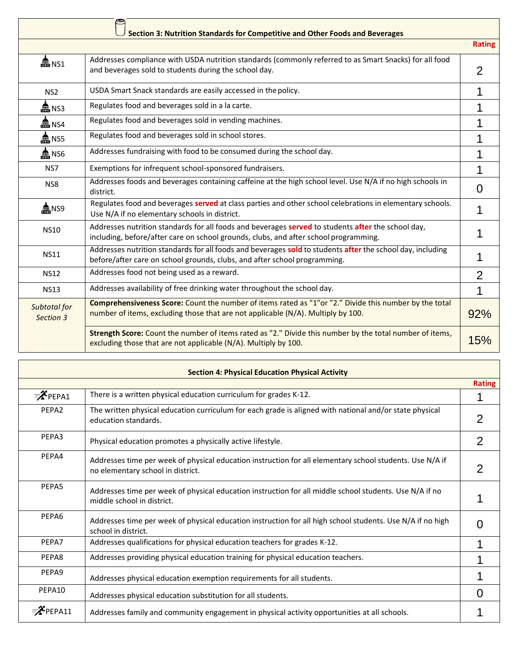|                           | Section 3: Nutrition Standards for Competitive and Other Foods and Beverages                                                                                                               |                |
|---------------------------|--------------------------------------------------------------------------------------------------------------------------------------------------------------------------------------------|----------------|
|                           |                                                                                                                                                                                            | <b>Rating</b>  |
| $\mathbf{m}$ NS1          | Addresses compliance with USDA nutrition standards (commonly referred to as Smart Snacks) for all food<br>and beverages sold to students during the school day.                            | 2              |
| NS <sub>2</sub>           | USDA Smart Snack standards are easily accessed in the policy.                                                                                                                              |                |
| 畾 NS3                     | Regulates food and beverages sold in a la carte.                                                                                                                                           |                |
| <b>霝</b> NS4              | Regulates food and beverages sold in vending machines.                                                                                                                                     |                |
| ▲ NS5                     | Regulates food and beverages sold in school stores.                                                                                                                                        |                |
| 盒 NS6                     | Addresses fundraising with food to be consumed during the school day.                                                                                                                      |                |
| NS7                       | Exemptions for infrequent school-sponsored fundraisers.                                                                                                                                    | 1              |
| NS8                       | Addresses foods and beverages containing caffeine at the high school level. Use N/A if no high schools in<br>district.                                                                     | 0              |
| <u>ଲ</u> ns9              | Regulates food and beverages served at class parties and other school celebrations in elementary schools.<br>Use N/A if no elementary schools in district.                                 |                |
| <b>NS10</b>               | Addresses nutrition standards for all foods and beverages served to students after the school day,<br>including, before/after care on school grounds, clubs, and after school programming. |                |
| <b>NS11</b>               | Addresses nutrition standards for all foods and beverages sold to students after the school day, including<br>before/after care on school grounds, clubs, and after school programming.    |                |
| <b>NS12</b>               | Addresses food not being used as a reward.                                                                                                                                                 | $\overline{2}$ |
| <b>NS13</b>               | Addresses availability of free drinking water throughout the school day.                                                                                                                   |                |
| Subtotal for<br>Section 3 | Comprehensiveness Score: Count the number of items rated as "1"or "2." Divide this number by the total<br>number of items, excluding those that are not applicable (N/A). Multiply by 100. | 92%            |
|                           | Strength Score: Count the number of items rated as "2." Divide this number by the total number of items,<br>excluding those that are not applicable (N/A). Multiply by 100.                | 15%            |

|                                | excluding those that are not applicable (N/A). Multiply by 100.                                                                               | 15%           |
|--------------------------------|-----------------------------------------------------------------------------------------------------------------------------------------------|---------------|
|                                | <b>Section 4: Physical Education Physical Activity</b>                                                                                        |               |
|                                |                                                                                                                                               | <b>Rating</b> |
| $\mathscr{F}_{\mathsf{PEPA1}}$ | There is a written physical education curriculum for grades K-12.                                                                             |               |
| PEPA2                          | The written physical education curriculum for each grade is aligned with national and/or state physical<br>education standards.               | 2             |
| PEPA3                          | Physical education promotes a physically active lifestyle.                                                                                    | 2             |
| PEPA4                          | Addresses time per week of physical education instruction for all elementary school students. Use N/A if<br>no elementary school in district. | 2             |
| PEPA5                          | Addresses time per week of physical education instruction for all middle school students. Use N/A if no<br>middle school in district.         |               |
| PEPA6                          | Addresses time per week of physical education instruction for all high school students. Use N/A if no high<br>school in district.             | 0             |
| PEPA7                          | Addresses qualifications for physical education teachers for grades K-12.                                                                     |               |
| PEPA8                          | Addresses providing physical education training for physical education teachers.                                                              |               |
| PEPA9                          | Addresses physical education exemption requirements for all students.                                                                         |               |
| PEPA10                         | Addresses physical education substitution for all students.                                                                                   | 0             |
| $\mathbf{P}$ PEPA11            | Addresses family and community engagement in physical activity opportunities at all schools.                                                  |               |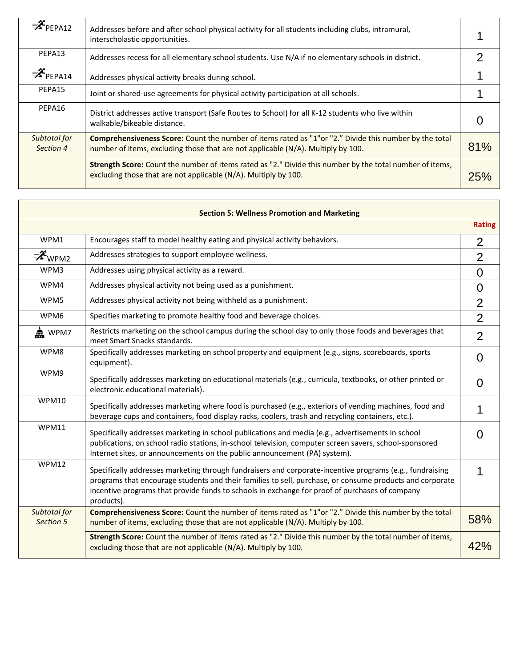| $\equiv$ $\mathcal{X}_{\mathsf{PEPA12}}$ | Addresses before and after school physical activity for all students including clubs, intramural,<br>interscholastic opportunities.                                                         |     |
|------------------------------------------|---------------------------------------------------------------------------------------------------------------------------------------------------------------------------------------------|-----|
| PEPA13                                   | Addresses recess for all elementary school students. Use N/A if no elementary schools in district.                                                                                          |     |
| ≡ <sup>2</sup> °PEPA14                   | Addresses physical activity breaks during school.                                                                                                                                           |     |
| PEPA15                                   | Joint or shared-use agreements for physical activity participation at all schools.                                                                                                          |     |
| PEPA16                                   | District addresses active transport (Safe Routes to School) for all K-12 students who live within<br>walkable/bikeable distance.                                                            |     |
| Subtotal for<br>Section 4                | Comprehensiveness Score: Count the number of items rated as "1" or "2." Divide this number by the total<br>number of items, excluding those that are not applicable (N/A). Multiply by 100. | 81% |
|                                          | Strength Score: Count the number of items rated as "2." Divide this number by the total number of items,<br>excluding those that are not applicable (N/A). Multiply by 100.                 | 25% |

|                           | excluding those that are not applicable (N/A). Multiply by 100.                                                                                                                                                                                                                                                                      | 25%            |
|---------------------------|--------------------------------------------------------------------------------------------------------------------------------------------------------------------------------------------------------------------------------------------------------------------------------------------------------------------------------------|----------------|
|                           | <b>Section 5: Wellness Promotion and Marketing</b>                                                                                                                                                                                                                                                                                   |                |
|                           |                                                                                                                                                                                                                                                                                                                                      | <b>Rating</b>  |
| WPM1                      | Encourages staff to model healthy eating and physical activity behaviors.                                                                                                                                                                                                                                                            | $\overline{2}$ |
| ≡ <sup>2</sup> ° wpm2     | Addresses strategies to support employee wellness.                                                                                                                                                                                                                                                                                   | $\overline{2}$ |
| WPM3                      | Addresses using physical activity as a reward.                                                                                                                                                                                                                                                                                       | $\overline{0}$ |
| WPM4                      | Addresses physical activity not being used as a punishment.                                                                                                                                                                                                                                                                          | $\mathbf 0$    |
| WPM5                      | Addresses physical activity not being withheld as a punishment.                                                                                                                                                                                                                                                                      | $\overline{2}$ |
| WPM6                      | Specifies marketing to promote healthy food and beverage choices.                                                                                                                                                                                                                                                                    | $\overline{2}$ |
| em WPM7                   | Restricts marketing on the school campus during the school day to only those foods and beverages that<br>meet Smart Snacks standards.                                                                                                                                                                                                | $\overline{2}$ |
| WPM8                      | Specifically addresses marketing on school property and equipment (e.g., signs, scoreboards, sports<br>equipment).                                                                                                                                                                                                                   | $\overline{0}$ |
| WPM9                      | Specifically addresses marketing on educational materials (e.g., curricula, textbooks, or other printed or<br>electronic educational materials).                                                                                                                                                                                     | $\Omega$       |
| <b>WPM10</b>              | Specifically addresses marketing where food is purchased (e.g., exteriors of vending machines, food and<br>beverage cups and containers, food display racks, coolers, trash and recycling containers, etc.).                                                                                                                         | 1              |
| <b>WPM11</b>              | Specifically addresses marketing in school publications and media (e.g., advertisements in school<br>publications, on school radio stations, in-school television, computer screen savers, school-sponsored<br>Internet sites, or announcements on the public announcement (PA) system).                                             | 0              |
| <b>WPM12</b>              | Specifically addresses marketing through fundraisers and corporate-incentive programs (e.g., fundraising<br>programs that encourage students and their families to sell, purchase, or consume products and corporate<br>incentive programs that provide funds to schools in exchange for proof of purchases of company<br>products). | 1              |
| Subtotal for<br>Section 5 | Comprehensiveness Score: Count the number of items rated as "1"or "2." Divide this number by the total<br>number of items, excluding those that are not applicable (N/A). Multiply by 100.                                                                                                                                           | 58%            |
|                           | Strength Score: Count the number of items rated as "2." Divide this number by the total number of items,<br>excluding those that are not applicable (N/A). Multiply by 100.                                                                                                                                                          | 42%            |